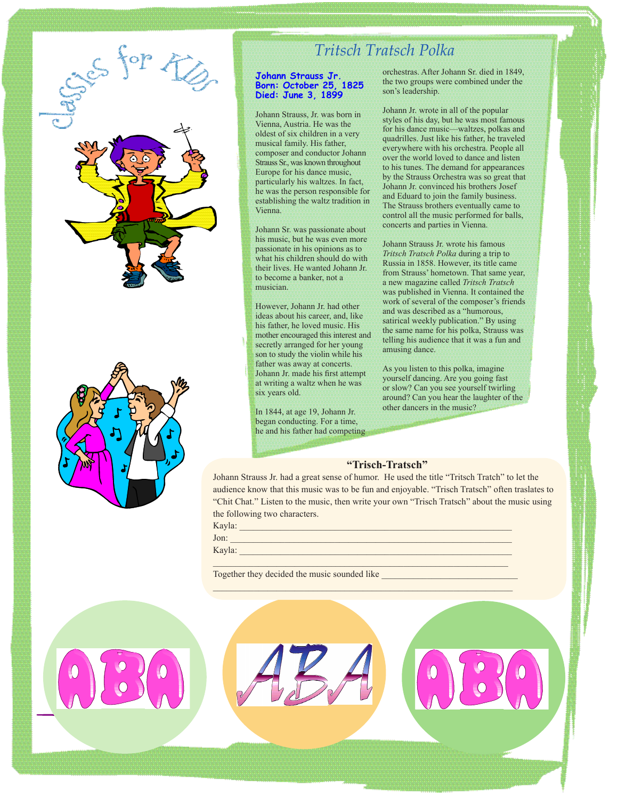

## *Tritsch Tratsch Polka*

#### **Johann Strauss Jr. Born: October 25, 1825 Died: June 3, 1899**

Johann Strauss, Jr. was born in Vienna, Austria. He was the oldest of six children in a very musical family. His father, composer and conductor Johann Strauss Sr., was known throughout Europe for his dance music, particularly his waltzes. In fact, he was the person responsible for establishing the waltz tradition in Vienna.

Johann Sr. was passionate about his music, but he was even more passionate in his opinions as to what his children should do with their lives. He wanted Johann Jr. to become a banker, not a musician.

However, Johann Jr. had other ideas about his career, and, like his father, he loved music. His mother encouraged this interest and secretly arranged for her young son to study the violin while his father was away at concerts. Johann Jr. made his first attempt at writing a waltz when he was six years old.

In 1844, at age 19, Johann Jr. began conducting. For a time, he and his father had competing orchestras. After Johann Sr. died in 1849, the two groups were combined under the son's leadership.

Johann Jr. wrote in all of the popular styles of his day, but he was most famous for his dance music—waltzes, polkas and quadrilles. Just like his father, he traveled everywhere with his orchestra. People all over the world loved to dance and listen to his tunes. The demand for appearances by the Strauss Orchestra was so great that Johann Jr. convinced his brothers Josef and Eduard to join the family business. The Strauss brothers eventually came to control all the music performed for balls, concerts and parties in Vienna.

Johann Strauss Jr. wrote his famous *Tritsch Tratsch Polka* during a trip to Russia in 1858. However, its title came from Strauss' hometown. That same year, a new magazine called *Tritsch Tratsch* was published in Vienna. It contained the work of several of the composer's friends and was described as a "humorous, satirical weekly publication." By using the same name for his polka, Strauss was telling his audience that it was a fun and amusing dance.

As you listen to this polka, imagine yourself dancing. Are you going fast or slow? Can you see yourself twirling around? Can you hear the laughter of the other dancers in the music?

### **"Trisch-Tratsch"**

Johann Strauss Jr. had a great sense of humor. He used the title "Tritsch Tratch" to let the audience know that this music was to be fun and enjoyable. "Trisch Tratsch" often traslates to "Chit Chat." Listen to the music, then write your own "Trisch Tratsch" about the music using the following two characters.

| Kayla: |  |
|--------|--|
| Jon:   |  |
| Kayla: |  |
|        |  |

Together they decided the music sounded like